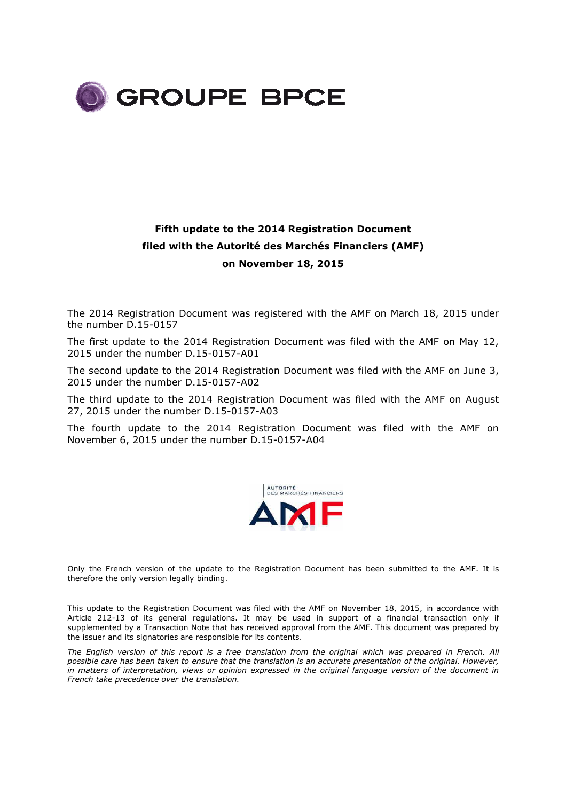

## **Fifth update to the 2014 Registration Document filed with the Autorité des Marchés Financiers (AMF) on November 18, 2015**

The 2014 Registration Document was registered with the AMF on March 18, 2015 under the number D.15-0157

The first update to the 2014 Registration Document was filed with the AMF on May 12, 2015 under the number D.15-0157-A01

The second update to the 2014 Registration Document was filed with the AMF on June 3, 2015 under the number D.15-0157-A02

The third update to the 2014 Registration Document was filed with the AMF on August 27, 2015 under the number D.15-0157-A03

The fourth update to the 2014 Registration Document was filed with the AMF on November 6, 2015 under the number D.15-0157-A04



Only the French version of the update to the Registration Document has been submitted to the AMF. It is therefore the only version legally binding.

This update to the Registration Document was filed with the AMF on November 18, 2015, in accordance with Article 212-13 of its general regulations. It may be used in support of a financial transaction only if supplemented by a Transaction Note that has received approval from the AMF. This document was prepared by the issuer and its signatories are responsible for its contents.

*The English version of this report is a free translation from the original which was prepared in French. All possible care has been taken to ensure that the translation is an accurate presentation of the original. However, in matters of interpretation, views or opinion expressed in the original language version of the document in French take precedence over the translation.*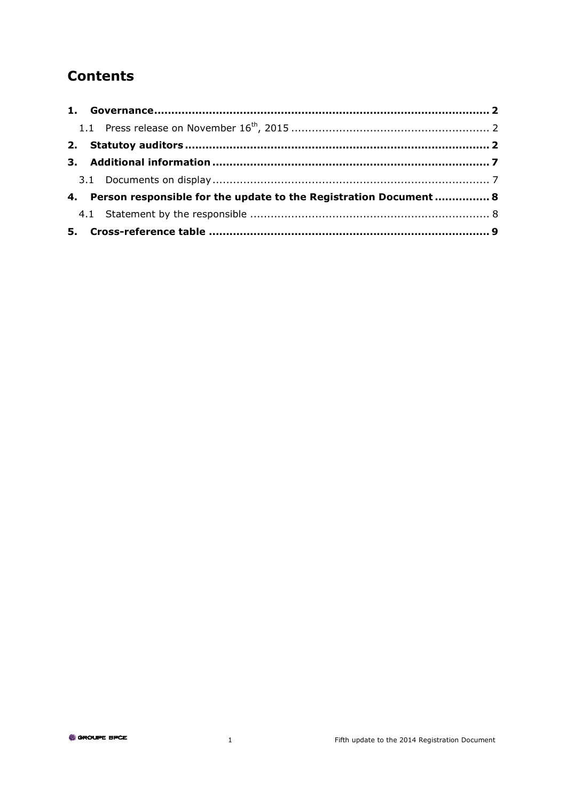## **Contents**

| 4. Person responsible for the update to the Registration Document  8 |  |
|----------------------------------------------------------------------|--|
|                                                                      |  |
|                                                                      |  |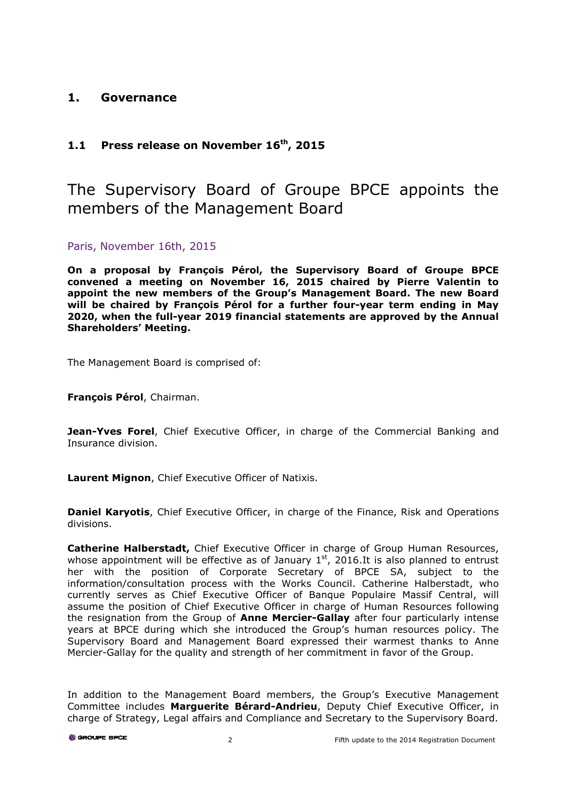## **1. Governance**

## **1.1 Press release on November 16th, 2015**

# The Supervisory Board of Groupe BPCE appoints the members of the Management Board

Paris, November 16th, 2015

**On a proposal by François Pérol, the Supervisory Board of Groupe BPCE convened a meeting on November 16, 2015 chaired by Pierre Valentin to appoint the new members of the Group's Management Board. The new Board will be chaired by François Pérol for a further four-year term ending in May 2020, when the full-year 2019 financial statements are approved by the Annual Shareholders' Meeting.** 

The Management Board is comprised of:

**François Pérol**, Chairman.

**Jean-Yves Forel**, Chief Executive Officer, in charge of the Commercial Banking and Insurance division.

**Laurent Mignon**, Chief Executive Officer of Natixis.

**Daniel Karyotis**, Chief Executive Officer, in charge of the Finance, Risk and Operations divisions.

**Catherine Halberstadt,** Chief Executive Officer in charge of Group Human Resources, whose appointment will be effective as of January  $1<sup>st</sup>$ , 2016.It is also planned to entrust her with the position of Corporate Secretary of BPCE SA, subject to the information/consultation process with the Works Council. Catherine Halberstadt, who currently serves as Chief Executive Officer of Banque Populaire Massif Central, will assume the position of Chief Executive Officer in charge of Human Resources following the resignation from the Group of **Anne Mercier-Gallay** after four particularly intense years at BPCE during which she introduced the Group's human resources policy. The Supervisory Board and Management Board expressed their warmest thanks to Anne Mercier-Gallay for the quality and strength of her commitment in favor of the Group.

In addition to the Management Board members, the Group's Executive Management Committee includes **Marguerite Bérard-Andrieu**, Deputy Chief Executive Officer, in charge of Strategy, Legal affairs and Compliance and Secretary to the Supervisory Board.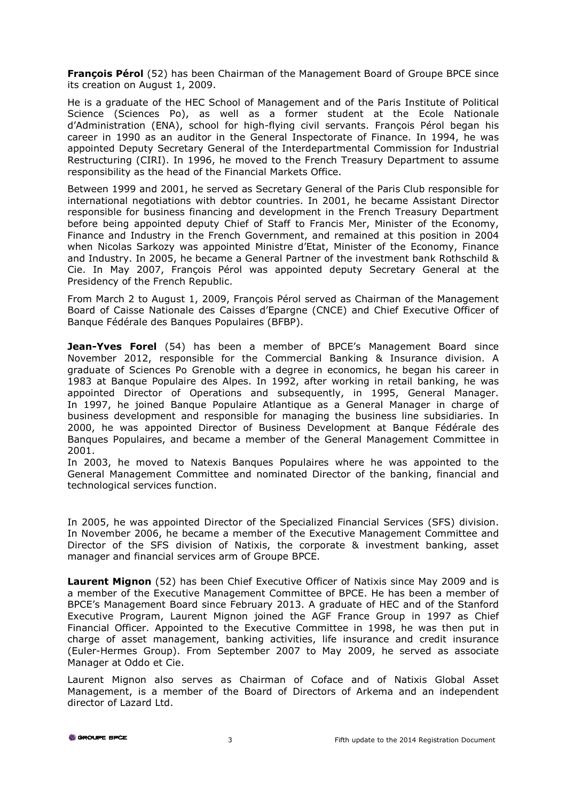**François Pérol** (52) has been Chairman of the Management Board of Groupe BPCE since its creation on August 1, 2009.

He is a graduate of the HEC School of Management and of the Paris Institute of Political Science (Sciences Po), as well as a former student at the Ecole Nationale d'Administration (ENA), school for high-flying civil servants. François Pérol began his career in 1990 as an auditor in the General Inspectorate of Finance. In 1994, he was appointed Deputy Secretary General of the Interdepartmental Commission for Industrial Restructuring (CIRI). In 1996, he moved to the French Treasury Department to assume responsibility as the head of the Financial Markets Office.

Between 1999 and 2001, he served as Secretary General of the Paris Club responsible for international negotiations with debtor countries. In 2001, he became Assistant Director responsible for business financing and development in the French Treasury Department before being appointed deputy Chief of Staff to Francis Mer, Minister of the Economy, Finance and Industry in the French Government, and remained at this position in 2004 when Nicolas Sarkozy was appointed Ministre d'Etat, Minister of the Economy, Finance and Industry. In 2005, he became a General Partner of the investment bank Rothschild & Cie. In May 2007, François Pérol was appointed deputy Secretary General at the Presidency of the French Republic.

From March 2 to August 1, 2009, François Pérol served as Chairman of the Management Board of Caisse Nationale des Caisses d'Epargne (CNCE) and Chief Executive Officer of Banque Fédérale des Banques Populaires (BFBP).

**Jean-Yves Forel** (54) has been a member of BPCE's Management Board since November 2012, responsible for the Commercial Banking & Insurance division. A graduate of Sciences Po Grenoble with a degree in economics, he began his career in 1983 at Banque Populaire des Alpes. In 1992, after working in retail banking, he was appointed Director of Operations and subsequently, in 1995, General Manager. In 1997, he joined Banque Populaire Atlantique as a General Manager in charge of business development and responsible for managing the business line subsidiaries. In 2000, he was appointed Director of Business Development at Banque Fédérale des Banques Populaires, and became a member of the General Management Committee in 2001.

In 2003, he moved to Natexis Banques Populaires where he was appointed to the General Management Committee and nominated Director of the banking, financial and technological services function.

In 2005, he was appointed Director of the Specialized Financial Services (SFS) division. In November 2006, he became a member of the Executive Management Committee and Director of the SFS division of Natixis, the corporate & investment banking, asset manager and financial services arm of Groupe BPCE.

**Laurent Mignon** (52) has been Chief Executive Officer of Natixis since May 2009 and is a member of the Executive Management Committee of BPCE. He has been a member of BPCE's Management Board since February 2013. A graduate of HEC and of the Stanford Executive Program, Laurent Mignon joined the AGF France Group in 1997 as Chief Financial Officer. Appointed to the Executive Committee in 1998, he was then put in charge of asset management, banking activities, life insurance and credit insurance (Euler-Hermes Group). From September 2007 to May 2009, he served as associate Manager at Oddo et Cie.

Laurent Mignon also serves as Chairman of Coface and of Natixis Global Asset Management, is a member of the Board of Directors of Arkema and an independent director of Lazard Ltd.

**6** GROUPE BPCE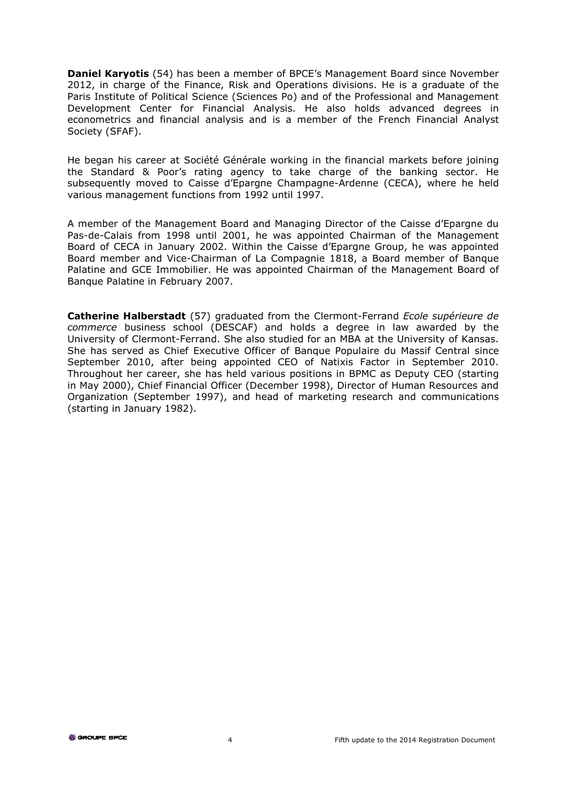**Daniel Karyotis** (54) has been a member of BPCE's Management Board since November 2012, in charge of the Finance, Risk and Operations divisions. He is a graduate of the Paris Institute of Political Science (Sciences Po) and of the Professional and Management Development Center for Financial Analysis. He also holds advanced degrees in econometrics and financial analysis and is a member of the French Financial Analyst Society (SFAF).

He began his career at Société Générale working in the financial markets before joining the Standard & Poor's rating agency to take charge of the banking sector. He subsequently moved to Caisse d'Epargne Champagne-Ardenne (CECA), where he held various management functions from 1992 until 1997.

A member of the Management Board and Managing Director of the Caisse d'Epargne du Pas-de-Calais from 1998 until 2001, he was appointed Chairman of the Management Board of CECA in January 2002. Within the Caisse d'Epargne Group, he was appointed Board member and Vice-Chairman of La Compagnie 1818, a Board member of Banque Palatine and GCE Immobilier. He was appointed Chairman of the Management Board of Banque Palatine in February 2007.

**Catherine Halberstadt** (57) graduated from the Clermont-Ferrand *Ecole supérieure de commerce* business school (DESCAF) and holds a degree in law awarded by the University of Clermont-Ferrand. She also studied for an MBA at the University of Kansas. She has served as Chief Executive Officer of Banque Populaire du Massif Central since September 2010, after being appointed CEO of Natixis Factor in September 2010. Throughout her career, she has held various positions in BPMC as Deputy CEO (starting in May 2000), Chief Financial Officer (December 1998), Director of Human Resources and Organization (September 1997), and head of marketing research and communications (starting in January 1982).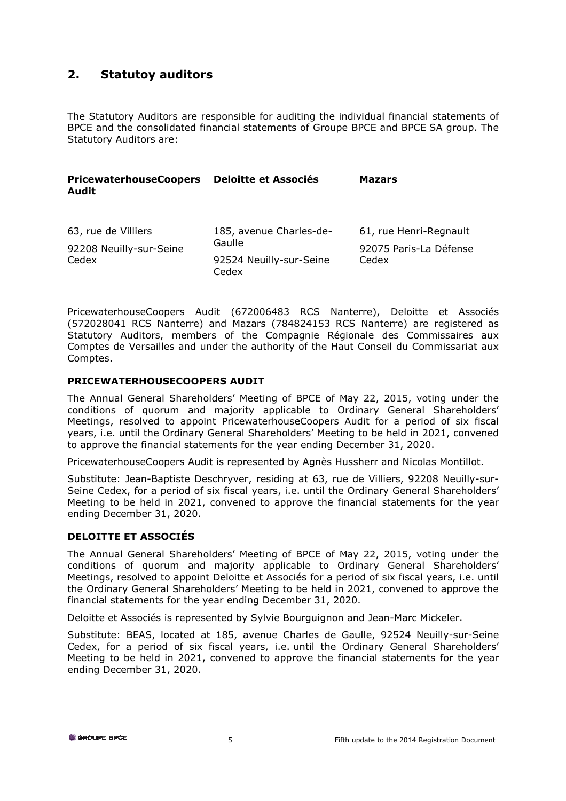### **2. Statutoy auditors**

The Statutory Auditors are responsible for auditing the individual financial statements of BPCE and the consolidated financial statements of Groupe BPCE and BPCE SA group. The Statutory Auditors are:

| <b>PricewaterhouseCoopers</b><br><b>Audit</b> | <b>Deloitte et Associés</b>                | <b>Mazars</b>                   |
|-----------------------------------------------|--------------------------------------------|---------------------------------|
| 63, rue de Villiers                           | 185, avenue Charles-de-                    | 61, rue Henri-Regnault          |
| 92208 Neuilly-sur-Seine<br>Cedex              | Gaulle<br>92524 Neuilly-sur-Seine<br>Cedex | 92075 Paris-La Défense<br>Cedex |
|                                               |                                            |                                 |

PricewaterhouseCoopers Audit (672006483 RCS Nanterre), Deloitte et Associés (572028041 RCS Nanterre) and Mazars (784824153 RCS Nanterre) are registered as Statutory Auditors, members of the Compagnie Régionale des Commissaires aux Comptes de Versailles and under the authority of the Haut Conseil du Commissariat aux Comptes.

#### **PRICEWATERHOUSECOOPERS AUDIT**

The Annual General Shareholders' Meeting of BPCE of May 22, 2015, voting under the conditions of quorum and majority applicable to Ordinary General Shareholders' Meetings, resolved to appoint PricewaterhouseCoopers Audit for a period of six fiscal years, i.e. until the Ordinary General Shareholders' Meeting to be held in 2021, convened to approve the financial statements for the year ending December 31, 2020.

PricewaterhouseCoopers Audit is represented by Agnès Hussherr and Nicolas Montillot.

Substitute: Jean-Baptiste Deschryver, residing at 63, rue de Villiers, 92208 Neuilly-sur-Seine Cedex, for a period of six fiscal years, i.e. until the Ordinary General Shareholders' Meeting to be held in 2021, convened to approve the financial statements for the year ending December 31, 2020.

#### **DELOITTE ET ASSOCIÉS**

The Annual General Shareholders' Meeting of BPCE of May 22, 2015, voting under the conditions of quorum and majority applicable to Ordinary General Shareholders' Meetings, resolved to appoint Deloitte et Associés for a period of six fiscal years, i.e. until the Ordinary General Shareholders' Meeting to be held in 2021, convened to approve the financial statements for the year ending December 31, 2020.

Deloitte et Associés is represented by Sylvie Bourguignon and Jean-Marc Mickeler.

Substitute: BEAS, located at 185, avenue Charles de Gaulle, 92524 Neuilly-sur-Seine Cedex, for a period of six fiscal years, i.e. until the Ordinary General Shareholders' Meeting to be held in 2021, convened to approve the financial statements for the year ending December 31, 2020.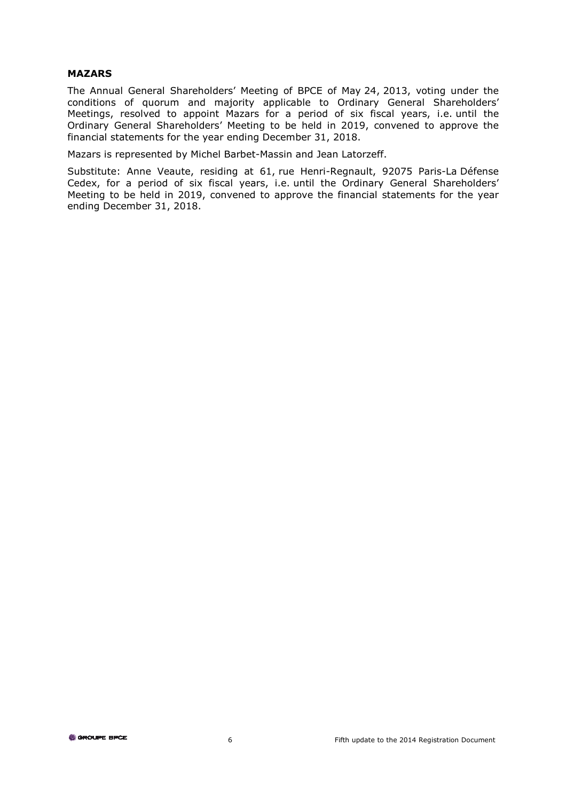#### **MAZARS**

The Annual General Shareholders' Meeting of BPCE of May 24, 2013, voting under the conditions of quorum and majority applicable to Ordinary General Shareholders' Meetings, resolved to appoint Mazars for a period of six fiscal years, i.e. until the Ordinary General Shareholders' Meeting to be held in 2019, convened to approve the financial statements for the year ending December 31, 2018.

Mazars is represented by Michel Barbet-Massin and Jean Latorzeff.

Substitute: Anne Veaute, residing at 61, rue Henri-Regnault, 92075 Paris-La Défense Cedex, for a period of six fiscal years, i.e. until the Ordinary General Shareholders' Meeting to be held in 2019, convened to approve the financial statements for the year ending December 31, 2018.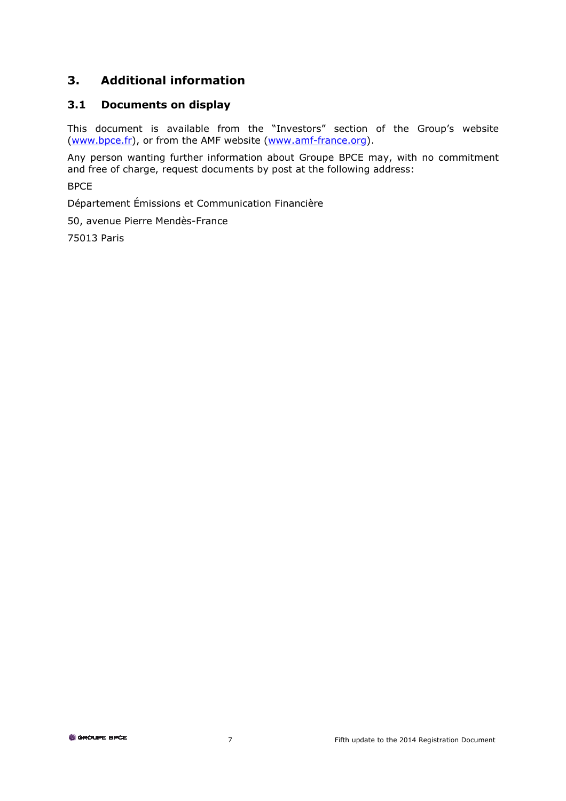## **3. Additional information**

#### **3.1 Documents on display**

This document is available from the "Investors" section of the Group's website (www.bpce.fr), or from the AMF website (www.amf-france.org).

Any person wanting further information about Groupe BPCE may, with no commitment and free of charge, request documents by post at the following address:

BPCE

Département Émissions et Communication Financière

50, avenue Pierre Mendès-France

75013 Paris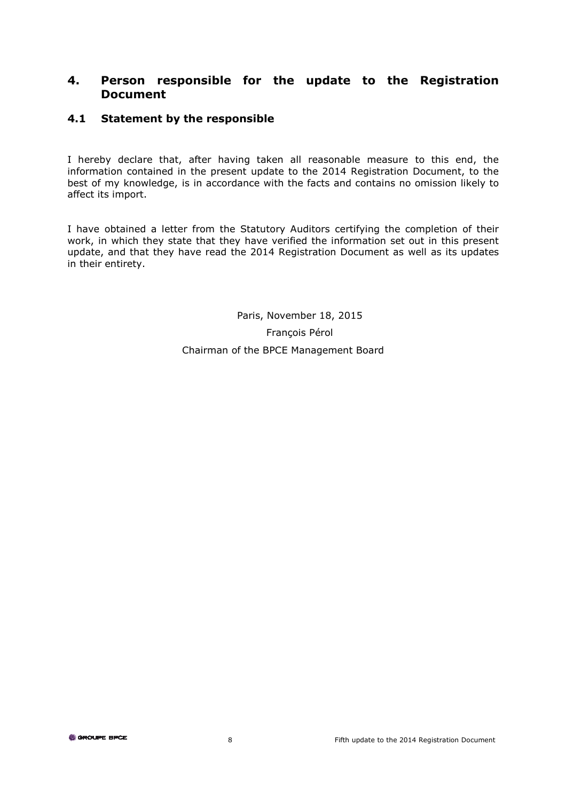#### **4. Person responsible for the update to the Registration Document**

#### **4.1 Statement by the responsible**

I hereby declare that, after having taken all reasonable measure to this end, the information contained in the present update to the 2014 Registration Document, to the best of my knowledge, is in accordance with the facts and contains no omission likely to affect its import.

I have obtained a letter from the Statutory Auditors certifying the completion of their work, in which they state that they have verified the information set out in this present update, and that they have read the 2014 Registration Document as well as its updates in their entirety.

> Paris, November 18, 2015 François Pérol Chairman of the BPCE Management Board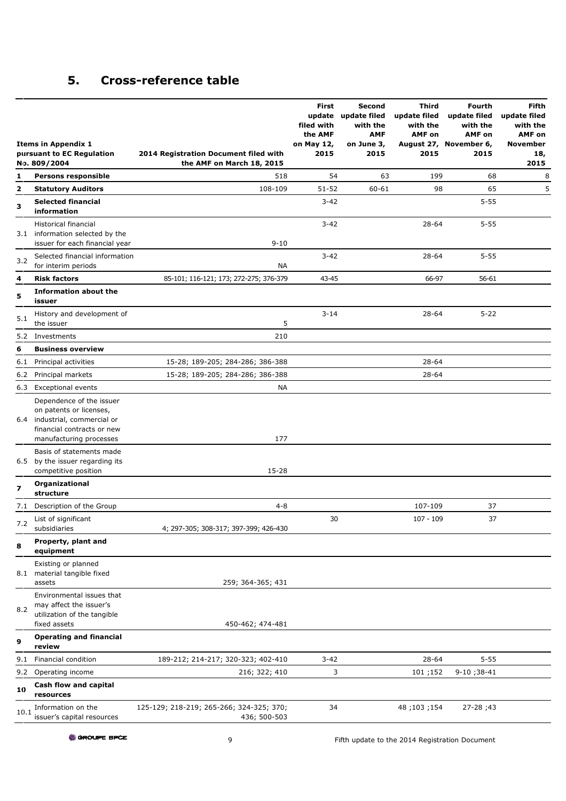## **5. Cross-reference table**

|      | <b>Items in Appendix 1</b><br>pursuant to EC Regulation<br>No. 809/2004                                                                   | 2014 Registration Document filed with<br>the AMF on March 18, 2015 | First<br>filed with<br>the AMF<br>on May 12,<br>2015 | Second<br>update update filed<br>with the<br><b>AMF</b><br>on June 3,<br>2015 | Third<br>update filed<br>with the<br><b>AMF</b> on<br>2015 | Fourth<br>update filed<br>with the<br><b>AMF</b> on<br>August 27, November 6,<br>2015 | <b>Fifth</b><br>update filed<br>with the<br><b>AMF</b> on<br>November<br>18,<br>2015 |
|------|-------------------------------------------------------------------------------------------------------------------------------------------|--------------------------------------------------------------------|------------------------------------------------------|-------------------------------------------------------------------------------|------------------------------------------------------------|---------------------------------------------------------------------------------------|--------------------------------------------------------------------------------------|
| 1    | <b>Persons responsible</b>                                                                                                                | 518                                                                | 54                                                   | 63                                                                            | 199                                                        | 68                                                                                    | 8                                                                                    |
| 2    | <b>Statutory Auditors</b>                                                                                                                 | 108-109                                                            | $51 - 52$                                            | 60-61                                                                         | 98                                                         | 65                                                                                    | 5                                                                                    |
| з    | <b>Selected financial</b><br>information                                                                                                  |                                                                    | $3 - 42$                                             |                                                                               |                                                            | $5 - 55$                                                                              |                                                                                      |
|      | Historical financial<br>3.1 information selected by the<br>issuer for each financial year                                                 | $9 - 10$                                                           | $3 - 42$                                             |                                                                               | 28-64                                                      | $5 - 55$                                                                              |                                                                                      |
| 3.2  | Selected financial information<br>for interim periods                                                                                     | NА                                                                 | $3 - 42$                                             |                                                                               | 28-64                                                      | $5 - 55$                                                                              |                                                                                      |
| 4    | <b>Risk factors</b>                                                                                                                       | 85-101; 116-121; 173; 272-275; 376-379                             | 43-45                                                |                                                                               | 66-97                                                      | 56-61                                                                                 |                                                                                      |
| 5    | <b>Information about the</b><br>issuer                                                                                                    |                                                                    |                                                      |                                                                               |                                                            |                                                                                       |                                                                                      |
| 5.1  | History and development of<br>the issuer                                                                                                  | 5                                                                  | $3 - 14$                                             |                                                                               | 28-64                                                      | $5 - 22$                                                                              |                                                                                      |
|      | 5.2 Investments                                                                                                                           | 210                                                                |                                                      |                                                                               |                                                            |                                                                                       |                                                                                      |
| 6    | <b>Business overview</b>                                                                                                                  |                                                                    |                                                      |                                                                               |                                                            |                                                                                       |                                                                                      |
| 6.1  | Principal activities                                                                                                                      | 15-28; 189-205; 284-286; 386-388                                   |                                                      |                                                                               | 28-64                                                      |                                                                                       |                                                                                      |
| 6.2  | Principal markets                                                                                                                         | 15-28; 189-205; 284-286; 386-388                                   |                                                      |                                                                               | 28-64                                                      |                                                                                       |                                                                                      |
|      | 6.3 Exceptional events                                                                                                                    | <b>NA</b>                                                          |                                                      |                                                                               |                                                            |                                                                                       |                                                                                      |
| 6.4  | Dependence of the issuer<br>on patents or licenses,<br>industrial, commercial or<br>financial contracts or new<br>manufacturing processes | 177                                                                |                                                      |                                                                               |                                                            |                                                                                       |                                                                                      |
| 6.5  | Basis of statements made<br>by the issuer regarding its<br>competitive position                                                           | 15-28                                                              |                                                      |                                                                               |                                                            |                                                                                       |                                                                                      |
| 7    | Organizational<br>structure                                                                                                               |                                                                    |                                                      |                                                                               |                                                            |                                                                                       |                                                                                      |
|      | 7.1 Description of the Group                                                                                                              | $4 - 8$                                                            |                                                      |                                                                               | 107-109                                                    | 37                                                                                    |                                                                                      |
| 7.2  | List of significant<br>subsidiaries                                                                                                       | 4; 297-305; 308-317; 397-399; 426-430                              | 30                                                   |                                                                               | $107 - 109$                                                | 37                                                                                    |                                                                                      |
| 8    | Property, plant and<br>equipment                                                                                                          |                                                                    |                                                      |                                                                               |                                                            |                                                                                       |                                                                                      |
| 8.1  | Existing or planned<br>material tangible fixed<br>assets                                                                                  | 259; 364-365; 431                                                  |                                                      |                                                                               |                                                            |                                                                                       |                                                                                      |
| 8.2  | Environmental issues that<br>may affect the issuer's<br>utilization of the tangible<br>fixed assets                                       | 450-462; 474-481                                                   |                                                      |                                                                               |                                                            |                                                                                       |                                                                                      |
| 9    | <b>Operating and financial</b><br>review                                                                                                  |                                                                    |                                                      |                                                                               |                                                            |                                                                                       |                                                                                      |
| 9.1  | Financial condition                                                                                                                       | 189-212; 214-217; 320-323; 402-410                                 | $3 - 42$                                             |                                                                               | 28-64                                                      | $5 - 55$                                                                              |                                                                                      |
|      | 9.2 Operating income                                                                                                                      | 216; 322; 410                                                      | 3                                                    |                                                                               | 101;152                                                    | $9-10;38-41$                                                                          |                                                                                      |
| 10   | Cash flow and capital<br>resources                                                                                                        |                                                                    |                                                      |                                                                               |                                                            |                                                                                       |                                                                                      |
| 10.1 | Information on the<br>issuer's capital resources                                                                                          | 125-129; 218-219; 265-266; 324-325; 370;<br>436; 500-503           | 34                                                   |                                                                               | 48;103;154                                                 | 27-28;43                                                                              |                                                                                      |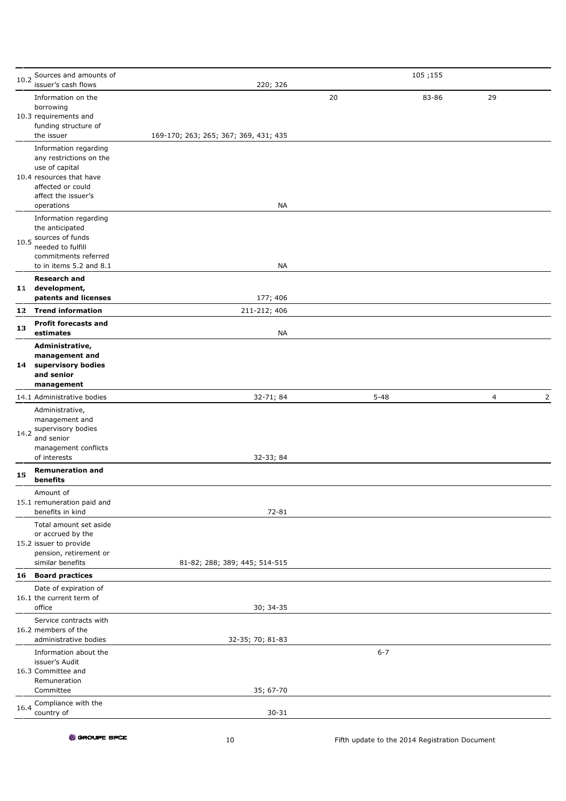| 10.2 | Sources and amounts of                      |                                       |    | 105;155  |    |                |
|------|---------------------------------------------|---------------------------------------|----|----------|----|----------------|
|      | issuer's cash flows<br>Information on the   | 220; 326                              | 20 | 83-86    | 29 |                |
|      | borrowing                                   |                                       |    |          |    |                |
|      | 10.3 requirements and                       |                                       |    |          |    |                |
|      | funding structure of<br>the issuer          | 169-170; 263; 265; 367; 369, 431; 435 |    |          |    |                |
|      | Information regarding                       |                                       |    |          |    |                |
|      | any restrictions on the                     |                                       |    |          |    |                |
|      | use of capital<br>10.4 resources that have  |                                       |    |          |    |                |
|      | affected or could                           |                                       |    |          |    |                |
|      | affect the issuer's<br>operations           | NA                                    |    |          |    |                |
|      | Information regarding                       |                                       |    |          |    |                |
|      | the anticipated                             |                                       |    |          |    |                |
| 10.5 | sources of funds<br>needed to fulfill       |                                       |    |          |    |                |
|      | commitments referred                        |                                       |    |          |    |                |
|      | to in items 5.2 and 8.1                     | <b>NA</b>                             |    |          |    |                |
|      | <b>Research and</b><br>11 development,      |                                       |    |          |    |                |
|      | patents and licenses                        | 177; 406                              |    |          |    |                |
|      | 1.2 Trend information                       | 211-212; 406                          |    |          |    |                |
| 13   | <b>Profit forecasts and</b><br>estimates    | <b>NA</b>                             |    |          |    |                |
|      | Administrative,                             |                                       |    |          |    |                |
|      | management and                              |                                       |    |          |    |                |
| 14   | supervisory bodies<br>and senior            |                                       |    |          |    |                |
|      | management                                  |                                       |    |          |    |                |
|      | 14.1 Administrative bodies                  | 32-71; 84                             |    | $5 - 48$ | 4  | $\overline{2}$ |
|      | Administrative,<br>management and           |                                       |    |          |    |                |
| 14.2 | supervisory bodies                          |                                       |    |          |    |                |
|      | and senior                                  |                                       |    |          |    |                |
|      | management conflicts<br>of interests        | 32-33; 84                             |    |          |    |                |
| 15   | <b>Remuneration and</b>                     |                                       |    |          |    |                |
|      | benefits<br>Amount of                       |                                       |    |          |    |                |
|      | 15.1 remuneration paid and                  |                                       |    |          |    |                |
|      | benefits in kind                            | 72-81                                 |    |          |    |                |
|      | Total amount set aside<br>or accrued by the |                                       |    |          |    |                |
|      | 15.2 issuer to provide                      |                                       |    |          |    |                |
|      | pension, retirement or<br>similar benefits  | 81-82; 288; 389; 445; 514-515         |    |          |    |                |
|      | 16 Board practices                          |                                       |    |          |    |                |
|      | Date of expiration of                       |                                       |    |          |    |                |
|      | 16.1 the current term of                    |                                       |    |          |    |                |
|      | office<br>Service contracts with            | 30; 34-35                             |    |          |    |                |
|      | 16.2 members of the                         |                                       |    |          |    |                |
|      | administrative bodies                       | 32-35; 70; 81-83                      |    |          |    |                |
|      | Information about the<br>issuer's Audit     |                                       |    | $6 - 7$  |    |                |
|      | 16.3 Committee and                          |                                       |    |          |    |                |
|      | Remuneration                                |                                       |    |          |    |                |
|      | Committee<br>Compliance with the            | 35; 67-70                             |    |          |    |                |
| 16.4 | country of                                  | $30 - 31$                             |    |          |    |                |
|      |                                             |                                       |    |          |    |                |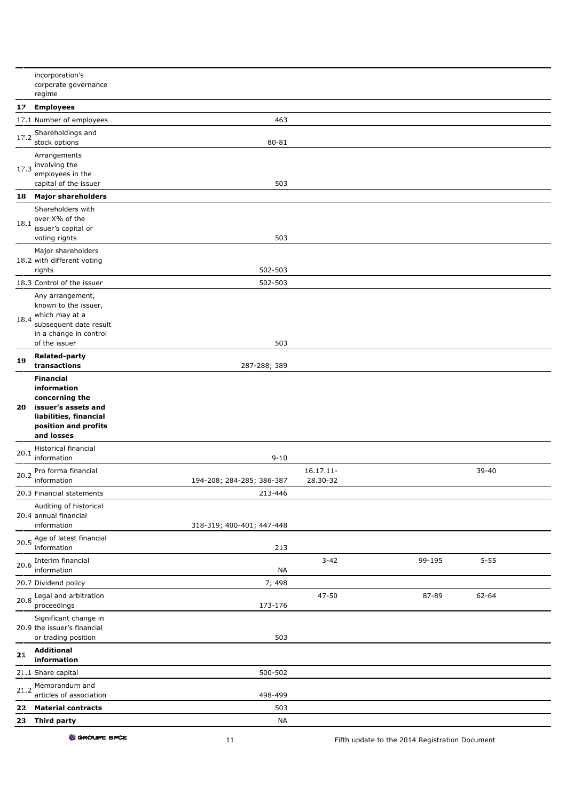|      | incorporation's<br>corporate governance                                                                  |                           |                          |        |          |  |
|------|----------------------------------------------------------------------------------------------------------|---------------------------|--------------------------|--------|----------|--|
|      | regime                                                                                                   |                           |                          |        |          |  |
| 17   | <b>Employees</b>                                                                                         |                           |                          |        |          |  |
|      | 17.1 Number of employees                                                                                 | 463                       |                          |        |          |  |
| 17.2 | Shareholdings and<br>stock options                                                                       | 80-81                     |                          |        |          |  |
|      | Arrangements<br>$17.3$ involving the<br>employees in the<br>capital of the issuer                        | 503                       |                          |        |          |  |
|      | 18 Major shareholders                                                                                    |                           |                          |        |          |  |
|      | Shareholders with                                                                                        |                           |                          |        |          |  |
| 18.1 | over X% of the<br>issuer's capital or<br>voting rights                                                   | 503                       |                          |        |          |  |
|      | Major shareholders<br>18.2 with different voting                                                         |                           |                          |        |          |  |
|      | rights                                                                                                   | 502-503                   |                          |        |          |  |
|      | 18.3 Control of the issuer                                                                               | 502-503                   |                          |        |          |  |
|      | Any arrangement,<br>known to the issuer,                                                                 |                           |                          |        |          |  |
|      | 18.4 which may at a<br>subsequent date result                                                            |                           |                          |        |          |  |
|      | in a change in control<br>of the issuer                                                                  | 503                       |                          |        |          |  |
| 19   | <b>Related-party</b><br>transactions                                                                     | 287-288; 389              |                          |        |          |  |
|      | <b>Financial</b><br>information                                                                          |                           |                          |        |          |  |
|      | concerning the<br>20 issuer's assets and<br>liabilities, financial<br>position and profits<br>and losses |                           |                          |        |          |  |
| 20.1 | Historical financial<br>information                                                                      | $9 - 10$                  |                          |        |          |  |
| 20.2 | Pro forma financial                                                                                      |                           | $16.17.11 -$<br>28.30-32 |        | 39-40    |  |
|      | information                                                                                              | 194-208; 284-285; 386-387 |                          |        |          |  |
|      | 20.3 Financial statements                                                                                | 213-446                   |                          |        |          |  |
|      | Auditing of historical<br>20.4 annual financial<br>information                                           | 318-319; 400-401; 447-448 |                          |        |          |  |
| 20.5 | Age of latest financial<br>information                                                                   | 213                       |                          |        |          |  |
| 20.6 | Interim financial                                                                                        |                           | $3 - 42$                 | 99-195 | $5 - 55$ |  |
|      | information                                                                                              | <b>NA</b>                 |                          |        |          |  |
| 20.8 | 20.7 Dividend policy<br>Legal and arbitration<br>proceedings                                             | 7; 498<br>173-176         | 47-50                    | 87-89  | 62-64    |  |
|      | Significant change in<br>20.9 the issuer's financial<br>or trading position                              | 503                       |                          |        |          |  |
| 21   | <b>Additional</b><br>information                                                                         |                           |                          |        |          |  |
|      | 21.1 Share capital                                                                                       | 500-502                   |                          |        |          |  |
|      | 21.2 Memorandum and                                                                                      | 498-499                   |                          |        |          |  |
| 22   | articles of association<br><b>Material contracts</b>                                                     | 503                       |                          |        |          |  |
| 23   | Third party                                                                                              | <b>NA</b>                 |                          |        |          |  |

GROUPE BPCE

11 Fifth update to the 2014 Registration Document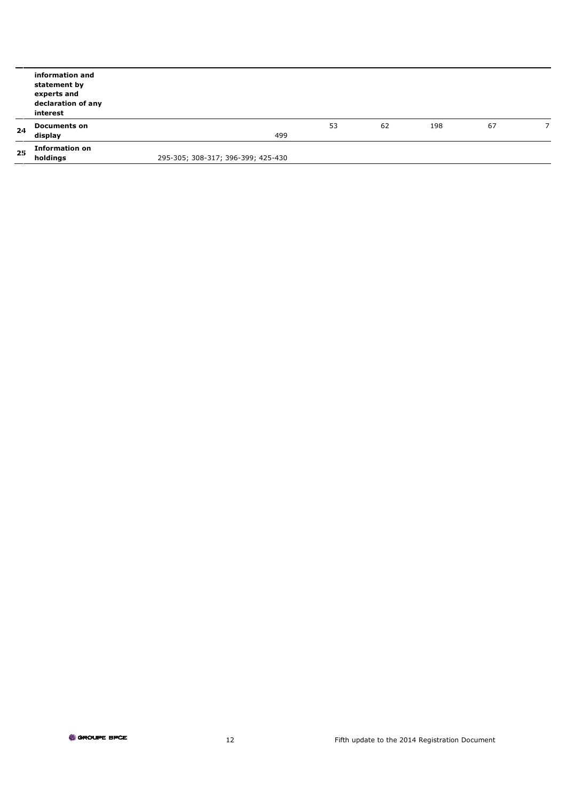|     | information and<br>statement by<br>experts and<br>declaration of any<br>interest |                                    |    |    |     |    |  |
|-----|----------------------------------------------------------------------------------|------------------------------------|----|----|-----|----|--|
| 24  | <b>Documents on</b><br>display                                                   | 499                                | 53 | 62 | 198 | 67 |  |
|     | <b>Information on</b>                                                            |                                    |    |    |     |    |  |
| 2.5 | holdings                                                                         | 295-305; 308-317; 396-399; 425-430 |    |    |     |    |  |